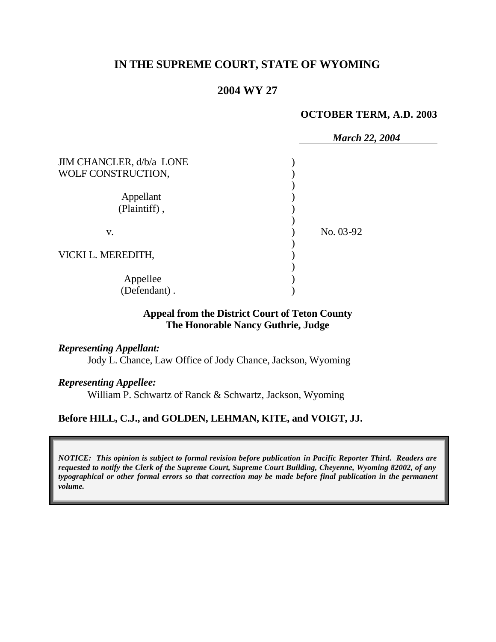# **IN THE SUPREME COURT, STATE OF WYOMING**

## **2004 WY 27**

#### **OCTOBER TERM, A.D. 2003**

|                                                | <b>March 22, 2004</b> |
|------------------------------------------------|-----------------------|
| JIM CHANCLER, d/b/a LONE<br>WOLF CONSTRUCTION, |                       |
| Appellant<br>(Plaintiff),                      |                       |
| V.                                             | No. 03-92             |
| VICKI L. MEREDITH,                             |                       |
| Appellee<br>(Defendant).                       |                       |

## **Appeal from the District Court of Teton County The Honorable Nancy Guthrie, Judge**

## *Representing Appellant:*

Jody L. Chance, Law Office of Jody Chance, Jackson, Wyoming

## *Representing Appellee:*

William P. Schwartz of Ranck & Schwartz, Jackson, Wyoming

# **Before HILL, C.J., and GOLDEN, LEHMAN, KITE, and VOIGT, JJ.**

*NOTICE: This opinion is subject to formal revision before publication in Pacific Reporter Third. Readers are requested to notify the Clerk of the Supreme Court, Supreme Court Building, Cheyenne, Wyoming 82002, of any typographical or other formal errors so that correction may be made before final publication in the permanent volume.*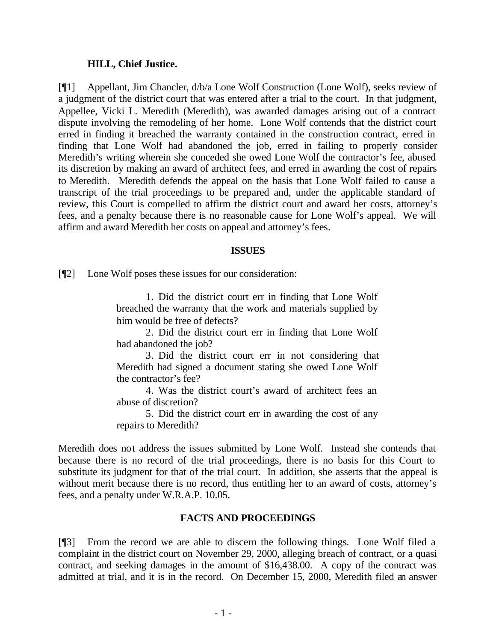### **HILL, Chief Justice.**

[¶1] Appellant, Jim Chancler, d/b/a Lone Wolf Construction (Lone Wolf), seeks review of a judgment of the district court that was entered after a trial to the court. In that judgment, Appellee, Vicki L. Meredith (Meredith), was awarded damages arising out of a contract dispute involving the remodeling of her home. Lone Wolf contends that the district court erred in finding it breached the warranty contained in the construction contract, erred in finding that Lone Wolf had abandoned the job, erred in failing to properly consider Meredith's writing wherein she conceded she owed Lone Wolf the contractor's fee, abused its discretion by making an award of architect fees, and erred in awarding the cost of repairs to Meredith. Meredith defends the appeal on the basis that Lone Wolf failed to cause a transcript of the trial proceedings to be prepared and, under the applicable standard of review, this Court is compelled to affirm the district court and award her costs, attorney's fees, and a penalty because there is no reasonable cause for Lone Wolf's appeal. We will affirm and award Meredith her costs on appeal and attorney's fees.

### **ISSUES**

[¶2] Lone Wolf poses these issues for our consideration:

1. Did the district court err in finding that Lone Wolf breached the warranty that the work and materials supplied by him would be free of defects?

2. Did the district court err in finding that Lone Wolf had abandoned the job?

3. Did the district court err in not considering that Meredith had signed a document stating she owed Lone Wolf the contractor's fee?

4. Was the district court's award of architect fees an abuse of discretion?

5. Did the district court err in awarding the cost of any repairs to Meredith?

Meredith does not address the issues submitted by Lone Wolf. Instead she contends that because there is no record of the trial proceedings, there is no basis for this Court to substitute its judgment for that of the trial court. In addition, she asserts that the appeal is without merit because there is no record, thus entitling her to an award of costs, attorney's fees, and a penalty under W.R.A.P. 10.05.

## **FACTS AND PROCEEDINGS**

[¶3] From the record we are able to discern the following things. Lone Wolf filed a complaint in the district court on November 29, 2000, alleging breach of contract, or a quasi contract, and seeking damages in the amount of \$16,438.00. A copy of the contract was admitted at trial, and it is in the record. On December 15, 2000, Meredith filed an answer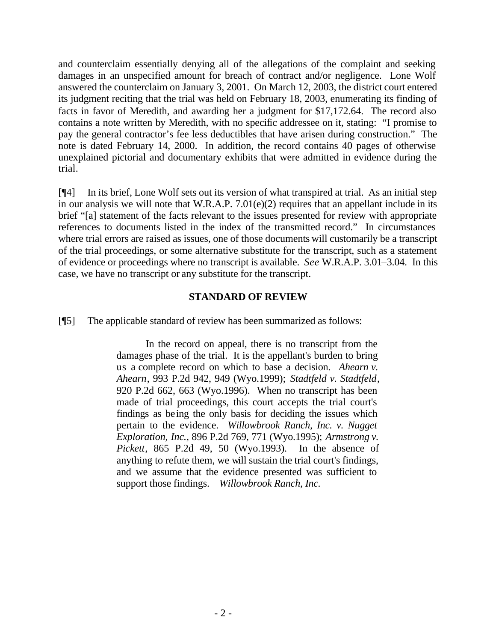and counterclaim essentially denying all of the allegations of the complaint and seeking damages in an unspecified amount for breach of contract and/or negligence. Lone Wolf answered the counterclaim on January 3, 2001. On March 12, 2003, the district court entered its judgment reciting that the trial was held on February 18, 2003, enumerating its finding of facts in favor of Meredith, and awarding her a judgment for \$17,172.64. The record also contains a note written by Meredith, with no specific addressee on it, stating: "I promise to pay the general contractor's fee less deductibles that have arisen during construction." The note is dated February 14, 2000. In addition, the record contains 40 pages of otherwise unexplained pictorial and documentary exhibits that were admitted in evidence during the trial.

[¶4] In its brief, Lone Wolf sets out its version of what transpired at trial. As an initial step in our analysis we will note that W.R.A.P. 7.01(e)(2) requires that an appellant include in its brief "[a] statement of the facts relevant to the issues presented for review with appropriate references to documents listed in the index of the transmitted record." In circumstances where trial errors are raised as issues, one of those documents will customarily be a transcript of the trial proceedings, or some alternative substitute for the transcript, such as a statement of evidence or proceedings where no transcript is available. *See* W.R.A.P. 3.01–3.04. In this case, we have no transcript or any substitute for the transcript.

### **STANDARD OF REVIEW**

[¶5] The applicable standard of review has been summarized as follows:

In the record on appeal, there is no transcript from the damages phase of the trial. It is the appellant's burden to bring us a complete record on which to base a decision. *Ahearn v. Ahearn*, 993 P.2d 942, 949 (Wyo.1999); *Stadtfeld v. Stadtfeld*, 920 P.2d 662, 663 (Wyo.1996). When no transcript has been made of trial proceedings, this court accepts the trial court's findings as being the only basis for deciding the issues which pertain to the evidence. *Willowbrook Ranch, Inc. v. Nugget Exploration, Inc.*, 896 P.2d 769, 771 (Wyo.1995); *Armstrong v. Pickett*, 865 P.2d 49, 50 (Wyo.1993). In the absence of anything to refute them, we will sustain the trial court's findings, and we assume that the evidence presented was sufficient to support those findings. *Willowbrook Ranch, Inc.*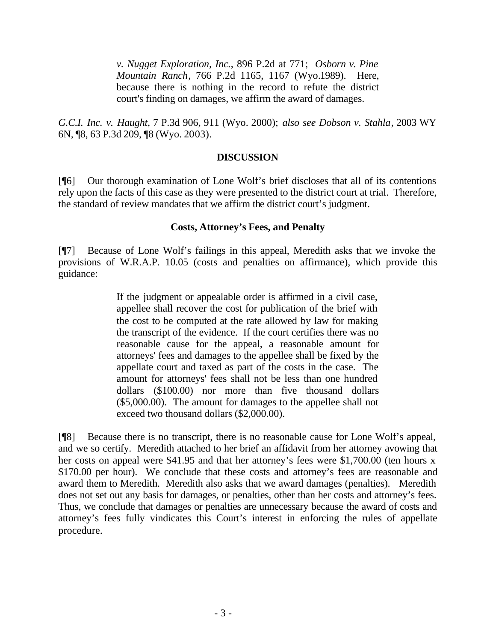*v. Nugget Exploration, Inc.*, 896 P.2d at 771; *Osborn v. Pine Mountain Ranch*, 766 P.2d 1165, 1167 (Wyo.1989). Here, because there is nothing in the record to refute the district court's finding on damages, we affirm the award of damages.

*G.C.I. Inc. v. Haught*, 7 P.3d 906, 911 (Wyo. 2000); *also see Dobson v. Stahla*, 2003 WY 6N, ¶8, 63 P.3d 209, ¶8 (Wyo. 2003).

## **DISCUSSION**

[¶6] Our thorough examination of Lone Wolf's brief discloses that all of its contentions rely upon the facts of this case as they were presented to the district court at trial. Therefore, the standard of review mandates that we affirm the district court's judgment.

## **Costs, Attorney's Fees, and Penalty**

[¶7] Because of Lone Wolf's failings in this appeal, Meredith asks that we invoke the provisions of W.R.A.P. 10.05 (costs and penalties on affirmance), which provide this guidance:

> If the judgment or appealable order is affirmed in a civil case, appellee shall recover the cost for publication of the brief with the cost to be computed at the rate allowed by law for making the transcript of the evidence. If the court certifies there was no reasonable cause for the appeal, a reasonable amount for attorneys' fees and damages to the appellee shall be fixed by the appellate court and taxed as part of the costs in the case. The amount for attorneys' fees shall not be less than one hundred dollars (\$100.00) nor more than five thousand dollars (\$5,000.00). The amount for damages to the appellee shall not exceed two thousand dollars (\$2,000.00).

[¶8] Because there is no transcript, there is no reasonable cause for Lone Wolf's appeal, and we so certify. Meredith attached to her brief an affidavit from her attorney avowing that her costs on appeal were \$41.95 and that her attorney's fees were \$1,700.00 (ten hours x \$170.00 per hour). We conclude that these costs and attorney's fees are reasonable and award them to Meredith. Meredith also asks that we award damages (penalties). Meredith does not set out any basis for damages, or penalties, other than her costs and attorney's fees. Thus, we conclude that damages or penalties are unnecessary because the award of costs and attorney's fees fully vindicates this Court's interest in enforcing the rules of appellate procedure.